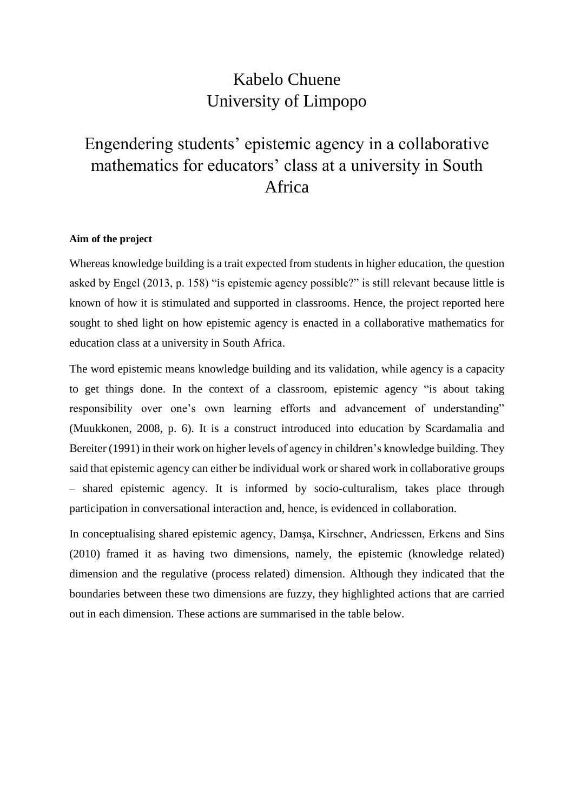## Kabelo Chuene University of Limpopo

# Engendering students' epistemic agency in a collaborative mathematics for educators' class at a university in South Africa

## **Aim of the project**

Whereas knowledge building is a trait expected from students in higher education, the question asked by Engel (2013, p. 158) "is epistemic agency possible?" is still relevant because little is known of how it is stimulated and supported in classrooms. Hence, the project reported here sought to shed light on how epistemic agency is enacted in a collaborative mathematics for education class at a university in South Africa.

The word epistemic means knowledge building and its validation, while agency is a capacity to get things done. In the context of a classroom, epistemic agency "is about taking responsibility over one's own learning efforts and advancement of understanding" (Muukkonen, 2008, p. 6). It is a construct introduced into education by Scardamalia and Bereiter (1991) in their work on higher levels of agency in children's knowledge building. They said that epistemic agency can either be individual work or shared work in collaborative groups – shared epistemic agency. It is informed by socio-culturalism, takes place through participation in conversational interaction and, hence, is evidenced in collaboration.

In conceptualising shared epistemic agency, Damşa, Kirschner, Andriessen, Erkens and Sins (2010) framed it as having two dimensions, namely, the epistemic (knowledge related) dimension and the regulative (process related) dimension. Although they indicated that the boundaries between these two dimensions are fuzzy, they highlighted actions that are carried out in each dimension. These actions are summarised in the table below.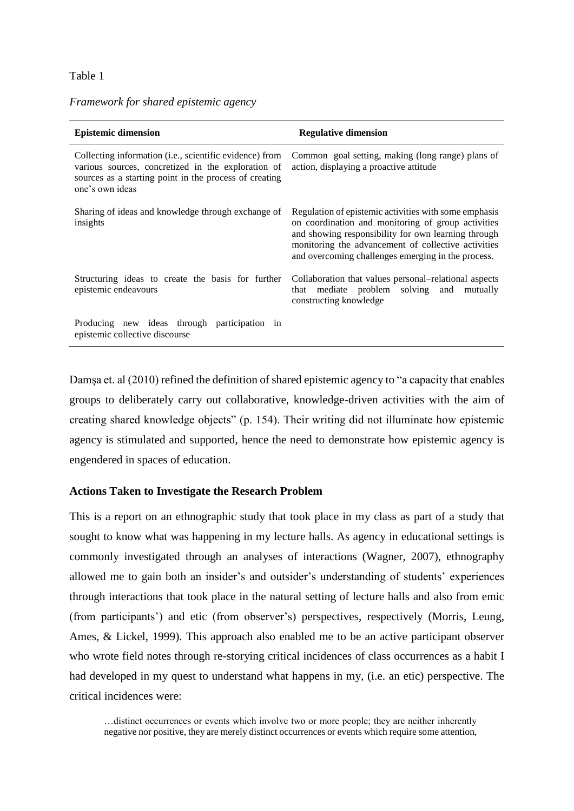#### Table 1

| <b>Epistemic dimension</b>                                                                                                                                                                 | <b>Regulative dimension</b>                                                                                                                                                                                                                                                     |  |  |  |  |
|--------------------------------------------------------------------------------------------------------------------------------------------------------------------------------------------|---------------------------------------------------------------------------------------------------------------------------------------------------------------------------------------------------------------------------------------------------------------------------------|--|--|--|--|
| Collecting information (i.e., scientific evidence) from<br>various sources, concretized in the exploration of<br>sources as a starting point in the process of creating<br>one's own ideas | Common goal setting, making (long range) plans of<br>action, displaying a proactive attitude                                                                                                                                                                                    |  |  |  |  |
| Sharing of ideas and knowledge through exchange of<br>insights                                                                                                                             | Regulation of epistemic activities with some emphasis<br>on coordination and monitoring of group activities<br>and showing responsibility for own learning through<br>monitoring the advancement of collective activities<br>and overcoming challenges emerging in the process. |  |  |  |  |
| Structuring ideas to create the basis for further<br>epistemic endeavours                                                                                                                  | Collaboration that values personal–relational aspects<br>mediate problem solving and mutually<br>that<br>constructing knowledge                                                                                                                                                 |  |  |  |  |
| Producing new ideas through participation in<br>epistemic collective discourse                                                                                                             |                                                                                                                                                                                                                                                                                 |  |  |  |  |

## *Framework for shared epistemic agency*

Damşa et. al (2010) refined the definition of shared epistemic agency to "a capacity that enables groups to deliberately carry out collaborative, knowledge-driven activities with the aim of creating shared knowledge objects" (p. 154). Their writing did not illuminate how epistemic agency is stimulated and supported, hence the need to demonstrate how epistemic agency is engendered in spaces of education.

#### **Actions Taken to Investigate the Research Problem**

This is a report on an ethnographic study that took place in my class as part of a study that sought to know what was happening in my lecture halls. As agency in educational settings is commonly investigated through an analyses of interactions (Wagner, 2007), ethnography allowed me to gain both an insider's and outsider's understanding of students' experiences through interactions that took place in the natural setting of lecture halls and also from emic (from participants') and etic (from observer's) perspectives, respectively (Morris, Leung, Ames, & Lickel, 1999). This approach also enabled me to be an active participant observer who wrote field notes through re-storying critical incidences of class occurrences as a habit I had developed in my quest to understand what happens in my, (i.e. an etic) perspective. The critical incidences were:

…distinct occurrences or events which involve two or more people; they are neither inherently negative nor positive, they are merely distinct occurrences or events which require some attention,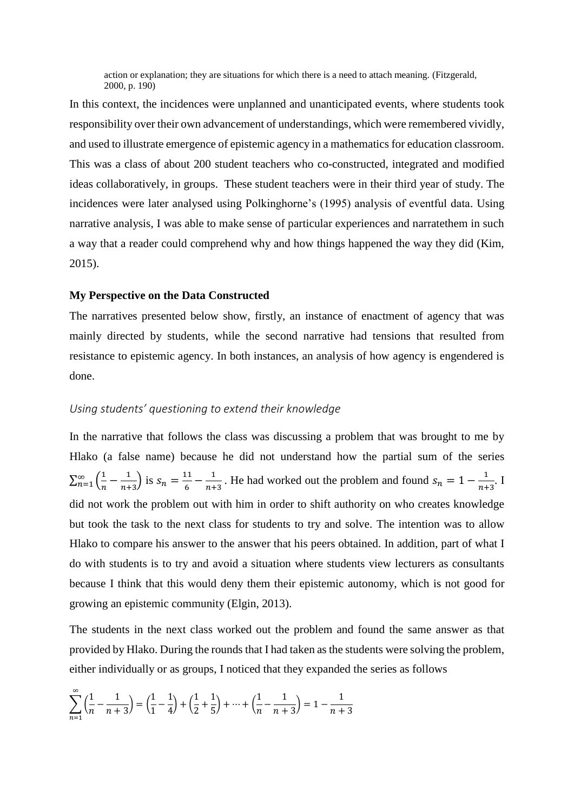action or explanation; they are situations for which there is a need to attach meaning. (Fitzgerald, 2000, p. 190)

In this context, the incidences were unplanned and unanticipated events, where students took responsibility over their own advancement of understandings, which were remembered vividly, and used to illustrate emergence of epistemic agency in a mathematics for education classroom. This was a class of about 200 student teachers who co-constructed, integrated and modified ideas collaboratively, in groups. These student teachers were in their third year of study. The incidences were later analysed using Polkinghorne's (1995) analysis of eventful data. Using narrative analysis, I was able to make sense of particular experiences and narratethem in such a way that a reader could comprehend why and how things happened the way they did (Kim, 2015).

#### **My Perspective on the Data Constructed**

The narratives presented below show, firstly, an instance of enactment of agency that was mainly directed by students, while the second narrative had tensions that resulted from resistance to epistemic agency. In both instances, an analysis of how agency is engendered is done.

### *Using students' questioning to extend their knowledge*

In the narrative that follows the class was discussing a problem that was brought to me by Hlako (a false name) because he did not understand how the partial sum of the series  $\sum_{n=1}^{\infty} \left( \frac{1}{n} \right)$  $\frac{1}{n} - \frac{1}{n+1}$  $\sum_{n=1}^{\infty} \left( \frac{1}{n} - \frac{1}{n+3} \right)$  is  $s_n = \frac{11}{6}$  $\frac{11}{6} - \frac{1}{n+1}$  $\frac{1}{n+3}$ . He had worked out the problem and found  $s_n = 1 - \frac{1}{n+1}$  $\frac{1}{n+3}$ . I did not work the problem out with him in order to shift authority on who creates knowledge but took the task to the next class for students to try and solve. The intention was to allow Hlako to compare his answer to the answer that his peers obtained. In addition, part of what I do with students is to try and avoid a situation where students view lecturers as consultants because I think that this would deny them their epistemic autonomy, which is not good for growing an epistemic community (Elgin, 2013).

The students in the next class worked out the problem and found the same answer as that provided by Hlako. During the rounds that I had taken as the students were solving the problem, either individually or as groups, I noticed that they expanded the series as follows

$$
\sum_{n=1}^{\infty} \left( \frac{1}{n} - \frac{1}{n+3} \right) = \left( \frac{1}{1} - \frac{1}{4} \right) + \left( \frac{1}{2} + \frac{1}{5} \right) + \dots + \left( \frac{1}{n} - \frac{1}{n+3} \right) = 1 - \frac{1}{n+3}
$$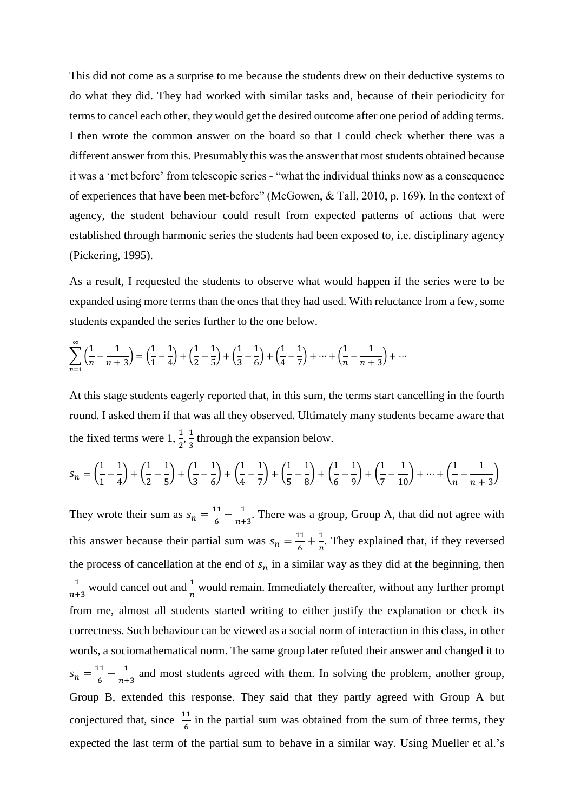This did not come as a surprise to me because the students drew on their deductive systems to do what they did. They had worked with similar tasks and, because of their periodicity for terms to cancel each other, they would get the desired outcome after one period of adding terms. I then wrote the common answer on the board so that I could check whether there was a different answer from this. Presumably this was the answer that most students obtained because it was a 'met before' from telescopic series - "what the individual thinks now as a consequence of experiences that have been met-before" (McGowen, & Tall, 2010, p. 169). In the context of agency, the student behaviour could result from expected patterns of actions that were established through harmonic series the students had been exposed to, i.e. disciplinary agency (Pickering, 1995).

As a result, I requested the students to observe what would happen if the series were to be expanded using more terms than the ones that they had used. With reluctance from a few, some students expanded the series further to the one below.

$$
\sum_{n=1}^{\infty} \left( \frac{1}{n} - \frac{1}{n+3} \right) = \left( \frac{1}{1} - \frac{1}{4} \right) + \left( \frac{1}{2} - \frac{1}{5} \right) + \left( \frac{1}{3} - \frac{1}{6} \right) + \left( \frac{1}{4} - \frac{1}{7} \right) + \dots + \left( \frac{1}{n} - \frac{1}{n+3} \right) + \dots
$$

At this stage students eagerly reported that, in this sum, the terms start cancelling in the fourth round. I asked them if that was all they observed. Ultimately many students became aware that the fixed terms were  $1, \frac{1}{2}, \frac{1}{3}$  $\frac{1}{3}$  through the expansion below.

$$
S_n = \left(\frac{1}{1} - \frac{1}{4}\right) + \left(\frac{1}{2} - \frac{1}{5}\right) + \left(\frac{1}{3} - \frac{1}{6}\right) + \left(\frac{1}{4} - \frac{1}{7}\right) + \left(\frac{1}{5} - \frac{1}{8}\right) + \left(\frac{1}{6} - \frac{1}{9}\right) + \left(\frac{1}{7} - \frac{1}{10}\right) + \dots + \left(\frac{1}{n} - \frac{1}{n+3}\right)
$$

They wrote their sum as  $s_n = \frac{11}{6}$  $\frac{11}{6} - \frac{1}{n+1}$  $\frac{1}{n+3}$ . There was a group, Group A, that did not agree with this answer because their partial sum was  $s_n = \frac{11}{6}$  $\frac{11}{6} + \frac{1}{n}$  $\frac{1}{n}$ . They explained that, if they reversed the process of cancellation at the end of  $s_n$  in a similar way as they did at the beginning, then 1  $\frac{1}{n+3}$  would cancel out and  $\frac{1}{n}$  would remain. Immediately thereafter, without any further prompt from me, almost all students started writing to either justify the explanation or check its correctness. Such behaviour can be viewed as a social norm of interaction in this class, in other words, a sociomathematical norm. The same group later refuted their answer and changed it to  $s_n = \frac{11}{6}$  $\frac{11}{6} - \frac{1}{n+1}$  $\frac{1}{n+3}$  and most students agreed with them. In solving the problem, another group, Group B, extended this response. They said that they partly agreed with Group A but conjectured that, since  $\frac{11}{6}$  in the partial sum was obtained from the sum of three terms, they expected the last term of the partial sum to behave in a similar way. Using Mueller et al.'s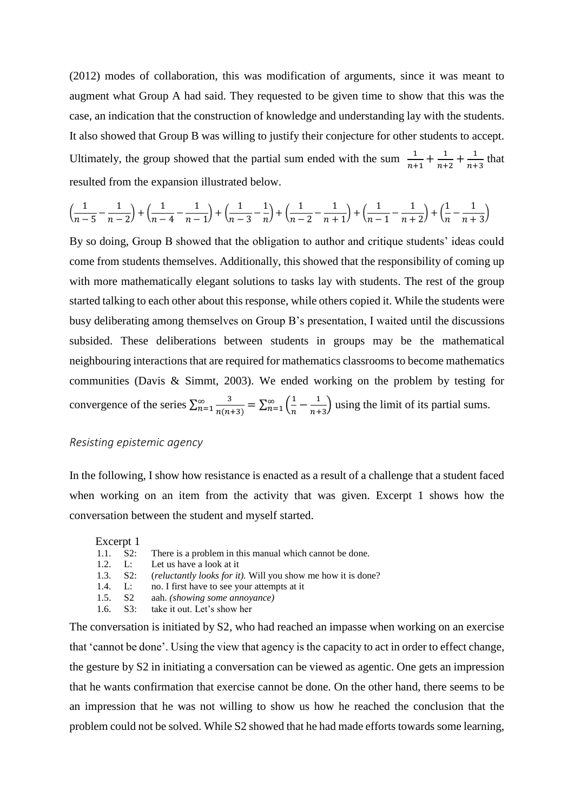(2012) modes of collaboration, this was modification of arguments, since it was meant to augment what Group A had said. They requested to be given time to show that this was the case, an indication that the construction of knowledge and understanding lay with the students. It also showed that Group B was willing to justify their conjecture for other students to accept. Ultimately, the group showed that the partial sum ended with the sum  $\frac{1}{\cdots}$  $\frac{1}{n+1} + \frac{1}{n+1}$  $\frac{1}{n+2} + \frac{1}{n+2}$  $\frac{1}{n+3}$  that resulted from the expansion illustrated below.

$$
\left(\frac{1}{n-5}-\frac{1}{n-2}\right)+\left(\frac{1}{n-4}-\frac{1}{n-1}\right)+\left(\frac{1}{n-3}-\frac{1}{n}\right)+\left(\frac{1}{n-2}-\frac{1}{n+1}\right)+\left(\frac{1}{n-1}-\frac{1}{n+2}\right)+\left(\frac{1}{n}-\frac{1}{n+3}\right)
$$

By so doing, Group B showed that the obligation to author and critique students' ideas could come from students themselves. Additionally, this showed that the responsibility of coming up with more mathematically elegant solutions to tasks lay with students. The rest of the group started talking to each other about this response, while others copied it. While the students were busy deliberating among themselves on Group B's presentation, I waited until the discussions subsided. These deliberations between students in groups may be the mathematical neighbouring interactions that are required for mathematics classrooms to become mathematics communities (Davis & Simmt, 2003). We ended working on the problem by testing for convergence of the series  $\sum_{n=1}^{\infty} \frac{3}{n(n+1)}$  $n(n+3)$  $\sum_{n=1}^{\infty} \frac{3}{n(n+3)} = \sum_{n=1}^{\infty} \left(\frac{1}{n}\right)$  $\frac{1}{n} - \frac{1}{n+1}$  $\sum_{n=1}^{\infty} \left( \frac{1}{n} - \frac{1}{n+3} \right)$  using the limit of its partial sums.

## *Resisting epistemic agency*

In the following, I show how resistance is enacted as a result of a challenge that a student faced when working on an item from the activity that was given. Excerpt 1 shows how the conversation between the student and myself started.

#### Excerpt 1

|  |  |  | 1.1. S2: There is a problem in this manual which cannot be done. |  |  |  |  |  |  |
|--|--|--|------------------------------------------------------------------|--|--|--|--|--|--|
|--|--|--|------------------------------------------------------------------|--|--|--|--|--|--|

- 1.2. L: Let us have a look at it
- 1.3. S2: (*reluctantly looks for it).* Will you show me how it is done?
- 1.4. L: no. I first have to see your attempts at it
- 1.5. S2 aah. *(showing some annoyance)*
- 1.6. S3: take it out. Let's show her

The conversation is initiated by S2, who had reached an impasse when working on an exercise that 'cannot be done'. Using the view that agency is the capacity to act in order to effect change, the gesture by S2 in initiating a conversation can be viewed as agentic. One gets an impression that he wants confirmation that exercise cannot be done. On the other hand, there seems to be an impression that he was not willing to show us how he reached the conclusion that the problem could not be solved. While S2 showed that he had made efforts towards some learning,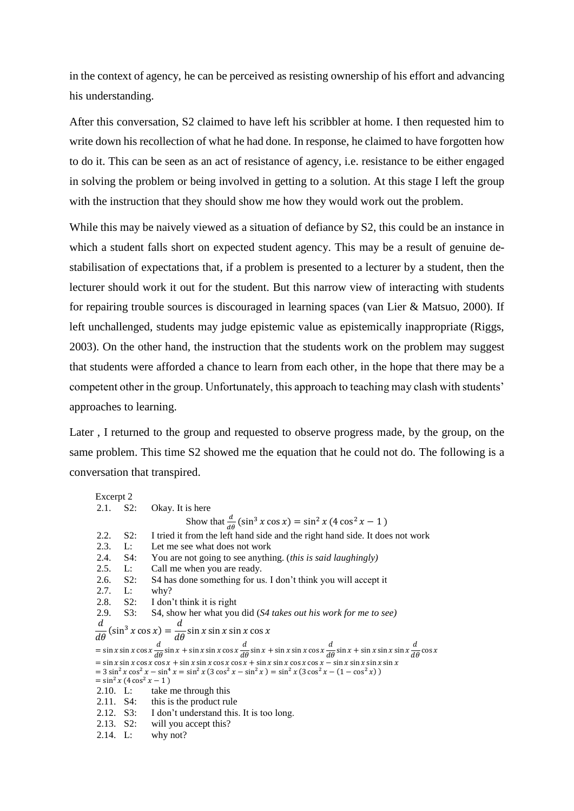in the context of agency, he can be perceived as resisting ownership of his effort and advancing his understanding.

After this conversation, S2 claimed to have left his scribbler at home. I then requested him to write down his recollection of what he had done. In response, he claimed to have forgotten how to do it. This can be seen as an act of resistance of agency, i.e. resistance to be either engaged in solving the problem or being involved in getting to a solution. At this stage I left the group with the instruction that they should show me how they would work out the problem.

While this may be naively viewed as a situation of defiance by S2, this could be an instance in which a student falls short on expected student agency. This may be a result of genuine destabilisation of expectations that, if a problem is presented to a lecturer by a student, then the lecturer should work it out for the student. But this narrow view of interacting with students for repairing trouble sources is discouraged in learning spaces (van Lier & Matsuo, 2000). If left unchallenged, students may judge epistemic value as epistemically inappropriate (Riggs, 2003). On the other hand, the instruction that the students work on the problem may suggest that students were afforded a chance to learn from each other, in the hope that there may be a competent other in the group. Unfortunately, this approach to teaching may clash with students' approaches to learning.

Later , I returned to the group and requested to observe progress made, by the group, on the same problem. This time S2 showed me the equation that he could not do. The following is a conversation that transpired.

Excerpt 2 2.1. S2: Okay. It is here Show that  $\frac{d}{d\theta}(\sin^3 x \cos x) = \sin^2 x (4 \cos^2 x - 1)$ 2.2. S2: I tried it from the left hand side and the right hand side. It does not work 2.3. L: Let me see what does not work 2.4. S4: You are not going to see anything. (*this is said laughingly*) 2.5. L: Call me when you are ready. Call me when you are ready. 2.6. S2: S4 has done something for us. I don't think you will accept it 2.7. L: why? 2.8. S2: I don't think it is right 2.9. S3: S4, show her what you did (*S4 takes out his work for me to see)*  $\boldsymbol{d}$  $d\theta$  $(\sin^3 x \cos x) = \frac{d}{d\theta} \sin x \sin x \sin x \cos x$  $=$  sin x sin x cos x  $\frac{d}{d\theta}$  sin x + sin x sin x cos x  $\frac{d}{d\theta}$  sin x + sin x sin x cos x  $\frac{d}{d\theta}$  sin x + sin x sin x sin x  $\frac{d}{d\theta}$  cos x  $\frac{u}{c} = \sin x \sin x \cos x \cos x + \sin x \sin x \cos x \cos x + \sin x \sin x \cos x \cos x - \sin x \sin x \sin x \sin x$  $= 3 \sin^2 x \cos^2 x - \sin^4 x = \sin^2 x (3 \cos^2 x - \sin^2 x) = \sin^2 x (3 \cos^2 x - (1 - \cos^2 x))$  $=$  sin<sup>2</sup> x (4 cos<sup>2</sup> x - 1) 2.10. L: take me through this  $2.11$ . S4: this is the product ru this is the product rule 2.12. S3: I don't understand this. It is too long. 2.13. S2: will you accept this? 2.14. L: why not?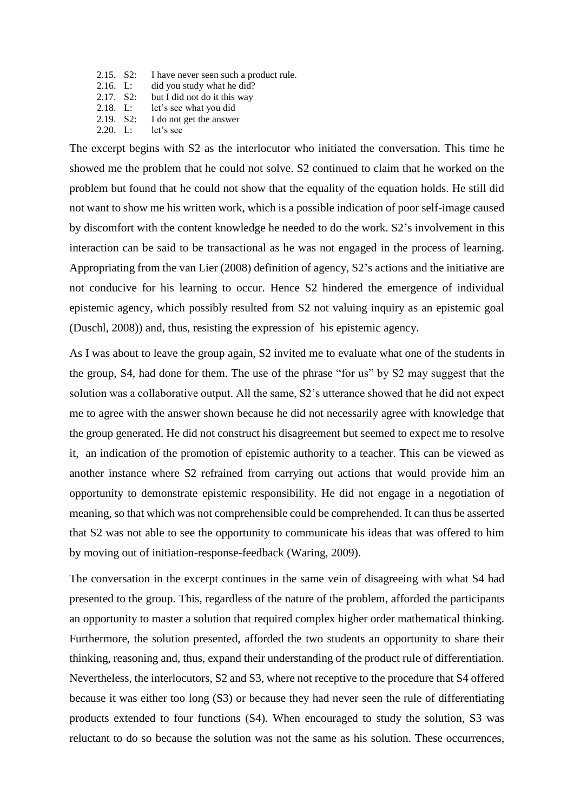- 2.15. S2: I have never seen such a product rule.
- 2.16. L: did you study what he did?
- 2.17. S2: but I did not do it this way
- 2.18. L: let's see what you did
- 2.19. S2: I do not get the answer
- 2.20. L: let's see

The excerpt begins with S2 as the interlocutor who initiated the conversation. This time he showed me the problem that he could not solve. S2 continued to claim that he worked on the problem but found that he could not show that the equality of the equation holds. He still did not want to show me his written work, which is a possible indication of poor self-image caused by discomfort with the content knowledge he needed to do the work. S2's involvement in this interaction can be said to be transactional as he was not engaged in the process of learning. Appropriating from the van Lier (2008) definition of agency, S2's actions and the initiative are not conducive for his learning to occur. Hence S2 hindered the emergence of individual epistemic agency, which possibly resulted from S2 not valuing inquiry as an epistemic goal (Duschl, 2008)) and, thus, resisting the expression of his epistemic agency.

As I was about to leave the group again, S2 invited me to evaluate what one of the students in the group, S4, had done for them. The use of the phrase "for us" by S2 may suggest that the solution was a collaborative output. All the same, S2's utterance showed that he did not expect me to agree with the answer shown because he did not necessarily agree with knowledge that the group generated. He did not construct his disagreement but seemed to expect me to resolve it, an indication of the promotion of epistemic authority to a teacher. This can be viewed as another instance where S2 refrained from carrying out actions that would provide him an opportunity to demonstrate epistemic responsibility. He did not engage in a negotiation of meaning, so that which was not comprehensible could be comprehended. It can thus be asserted that S2 was not able to see the opportunity to communicate his ideas that was offered to him by moving out of initiation-response-feedback (Waring, 2009).

The conversation in the excerpt continues in the same vein of disagreeing with what S4 had presented to the group. This, regardless of the nature of the problem, afforded the participants an opportunity to master a solution that required complex higher order mathematical thinking. Furthermore, the solution presented, afforded the two students an opportunity to share their thinking, reasoning and, thus, expand their understanding of the product rule of differentiation. Nevertheless, the interlocutors, S2 and S3, where not receptive to the procedure that S4 offered because it was either too long (S3) or because they had never seen the rule of differentiating products extended to four functions (S4). When encouraged to study the solution, S3 was reluctant to do so because the solution was not the same as his solution. These occurrences,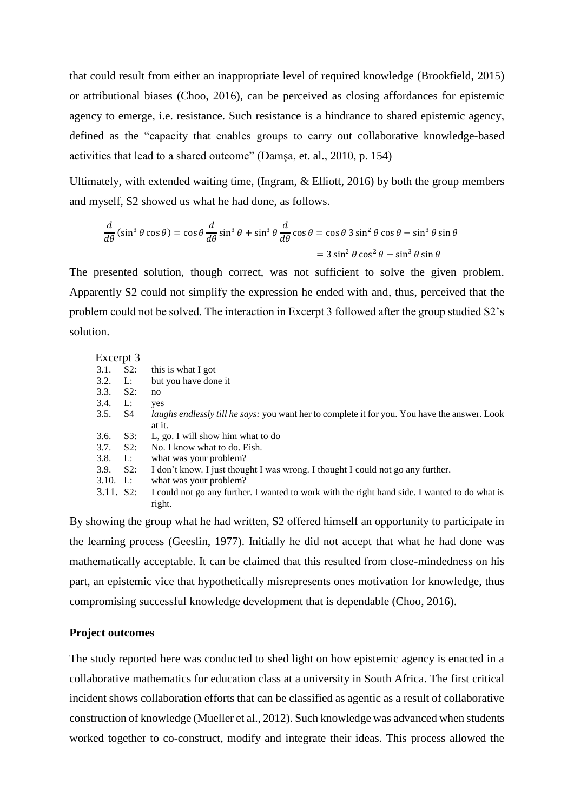that could result from either an inappropriate level of required knowledge (Brookfield, 2015) or attributional biases (Choo, 2016), can be perceived as closing affordances for epistemic agency to emerge, i.e. resistance. Such resistance is a hindrance to shared epistemic agency, defined as the "capacity that enables groups to carry out collaborative knowledge-based activities that lead to a shared outcome" (Damşa, et. al., 2010, p. 154)

Ultimately, with extended waiting time, (Ingram, & Elliott, 2016) by both the group members and myself, S2 showed us what he had done, as follows.

$$
\frac{d}{d\theta}(\sin^3\theta\cos\theta) = \cos\theta \frac{d}{d\theta}\sin^3\theta + \sin^3\theta \frac{d}{d\theta}\cos\theta = \cos\theta 3\sin^2\theta\cos\theta - \sin^3\theta\sin\theta
$$

$$
= 3\sin^2\theta\cos^2\theta - \sin^3\theta\sin\theta
$$

The presented solution, though correct, was not sufficient to solve the given problem. Apparently S2 could not simplify the expression he ended with and, thus, perceived that the problem could not be solved. The interaction in Excerpt 3 followed after the group studied S2's solution.

| Excerpt 3  |        |                                                                                                      |
|------------|--------|------------------------------------------------------------------------------------------------------|
| 3.1.       | $S2$ : | this is what I got                                                                                   |
| 3.2.       | L:     | but you have done it                                                                                 |
| 3.3.       | $S2$ : | no                                                                                                   |
| 3.4.       | L:     | yes                                                                                                  |
| 3.5.       | S4     | <i>laughs endlessly till he says:</i> you want her to complete it for you. You have the answer. Look |
|            |        | at it.                                                                                               |
| 3.6.       | $S3$ : | L, go. I will show him what to do                                                                    |
| 3.7.       | $S2$ : | No. I know what to do. Eish.                                                                         |
| 3.8.       | L:     | what was your problem?                                                                               |
| 3.9.       | $S2$ : | I don't know. I just thought I was wrong. I thought I could not go any further.                      |
| $3.10.$ L: |        | what was your problem?                                                                               |
| 3.11. S2:  |        | I could not go any further. I wanted to work with the right hand side. I wanted to do what is        |

By showing the group what he had written, S2 offered himself an opportunity to participate in the learning process (Geeslin, 1977). Initially he did not accept that what he had done was mathematically acceptable. It can be claimed that this resulted from close-mindedness on his part, an epistemic vice that hypothetically misrepresents ones motivation for knowledge, thus compromising successful knowledge development that is dependable (Choo, 2016).

#### **Project outcomes**

right.

The study reported here was conducted to shed light on how epistemic agency is enacted in a collaborative mathematics for education class at a university in South Africa. The first critical incident shows collaboration efforts that can be classified as agentic as a result of collaborative construction of knowledge (Mueller et al., 2012). Such knowledge was advanced when students worked together to co-construct, modify and integrate their ideas. This process allowed the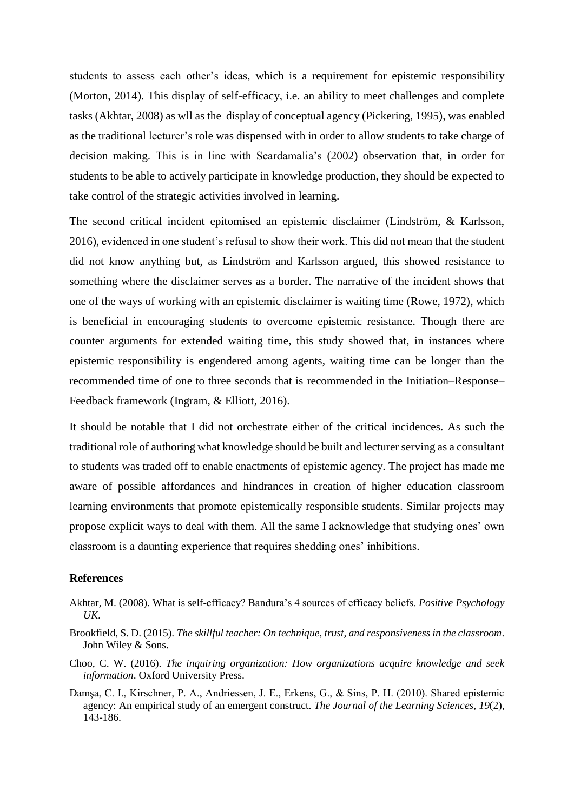students to assess each other's ideas, which is a requirement for epistemic responsibility (Morton, 2014). This display of self-efficacy, i.e. an ability to meet challenges and complete tasks (Akhtar, 2008) as wll as the display of conceptual agency (Pickering, 1995), was enabled as the traditional lecturer's role was dispensed with in order to allow students to take charge of decision making. This is in line with Scardamalia's (2002) observation that, in order for students to be able to actively participate in knowledge production, they should be expected to take control of the strategic activities involved in learning.

The second critical incident epitomised an epistemic disclaimer (Lindström, & Karlsson, 2016), evidenced in one student's refusal to show their work. This did not mean that the student did not know anything but, as Lindström and Karlsson argued, this showed resistance to something where the disclaimer serves as a border. The narrative of the incident shows that one of the ways of working with an epistemic disclaimer is waiting time (Rowe, 1972), which is beneficial in encouraging students to overcome epistemic resistance. Though there are counter arguments for extended waiting time, this study showed that, in instances where epistemic responsibility is engendered among agents, waiting time can be longer than the recommended time of one to three seconds that is recommended in the Initiation–Response– Feedback framework (Ingram, & Elliott, 2016).

It should be notable that I did not orchestrate either of the critical incidences. As such the traditional role of authoring what knowledge should be built and lecturer serving as a consultant to students was traded off to enable enactments of epistemic agency. The project has made me aware of possible affordances and hindrances in creation of higher education classroom learning environments that promote epistemically responsible students. Similar projects may propose explicit ways to deal with them. All the same I acknowledge that studying ones' own classroom is a daunting experience that requires shedding ones' inhibitions.

#### **References**

- Akhtar, M. (2008). What is self-efficacy? Bandura's 4 sources of efficacy beliefs. *Positive Psychology UK*.
- Brookfield, S. D. (2015). *The skillful teacher: On technique, trust, and responsiveness in the classroom*. John Wiley & Sons.
- Choo, C. W. (2016). *The inquiring organization: How organizations acquire knowledge and seek information*. Oxford University Press.
- Damşa, C. I., Kirschner, P. A., Andriessen, J. E., Erkens, G., & Sins, P. H. (2010). Shared epistemic agency: An empirical study of an emergent construct. *The Journal of the Learning Sciences*, *19*(2), 143-186.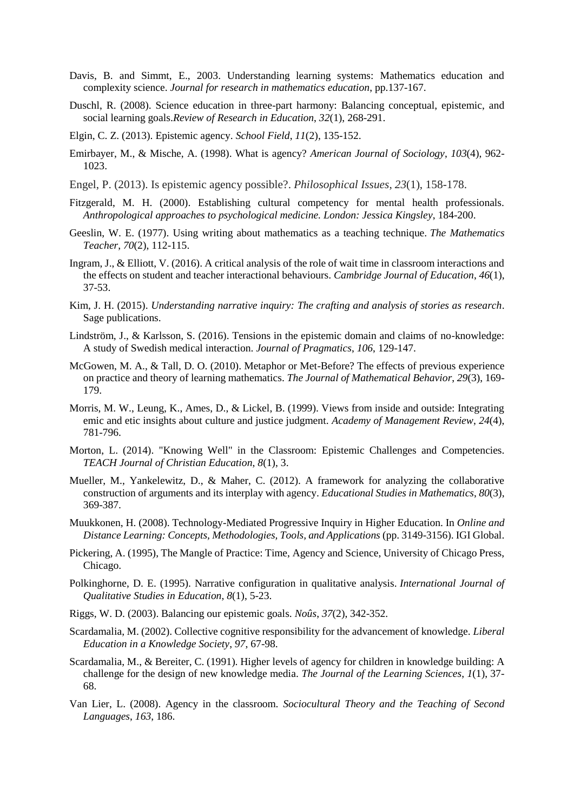- Davis, B. and Simmt, E., 2003. Understanding learning systems: Mathematics education and complexity science. *Journal for research in mathematics education*, pp.137-167.
- Duschl, R. (2008). Science education in three-part harmony: Balancing conceptual, epistemic, and social learning goals.*Review of Research in Education*, *32*(1), 268-291.
- Elgin, C. Z. (2013). Epistemic agency. *School Field*, *11*(2), 135-152.
- Emirbayer, M., & Mische, A. (1998). What is agency? *American Journal of Sociology*, *103*(4), 962- 1023.
- Engel, P. (2013). Is epistemic agency possible?. *Philosophical Issues*, *23*(1), 158-178.
- Fitzgerald, M. H. (2000). Establishing cultural competency for mental health professionals. *Anthropological approaches to psychological medicine. London: Jessica Kingsley*, 184-200.
- Geeslin, W. E. (1977). Using writing about mathematics as a teaching technique. *The Mathematics Teacher*, *70*(2), 112-115.
- Ingram, J., & Elliott, V. (2016). A critical analysis of the role of wait time in classroom interactions and the effects on student and teacher interactional behaviours. *Cambridge Journal of Education*, *46*(1), 37-53.
- Kim, J. H. (2015). *Understanding narrative inquiry: The crafting and analysis of stories as research*. Sage publications.
- Lindström, J., & Karlsson, S. (2016). Tensions in the epistemic domain and claims of no-knowledge: A study of Swedish medical interaction. *Journal of Pragmatics*, *106*, 129-147.
- McGowen, M. A., & Tall, D. O. (2010). Metaphor or Met-Before? The effects of previous experience on practice and theory of learning mathematics. *The Journal of Mathematical Behavior*, *29*(3), 169- 179.
- Morris, M. W., Leung, K., Ames, D., & Lickel, B. (1999). Views from inside and outside: Integrating emic and etic insights about culture and justice judgment. *Academy of Management Review*, *24*(4), 781-796.
- Morton, L. (2014). "Knowing Well" in the Classroom: Epistemic Challenges and Competencies. *TEACH Journal of Christian Education*, *8*(1), 3.
- Mueller, M., Yankelewitz, D., & Maher, C. (2012). A framework for analyzing the collaborative construction of arguments and its interplay with agency. *Educational Studies in Mathematics*, *80*(3), 369-387.
- Muukkonen, H. (2008). Technology-Mediated Progressive Inquiry in Higher Education. In *Online and Distance Learning: Concepts, Methodologies, Tools, and Applications* (pp. 3149-3156). IGI Global.
- Pickering, A. (1995), The Mangle of Practice: Time, Agency and Science, University of Chicago Press, Chicago.
- Polkinghorne, D. E. (1995). Narrative configuration in qualitative analysis. *International Journal of Qualitative Studies in Education*, *8*(1), 5-23.
- Riggs, W. D. (2003). Balancing our epistemic goals. *Noûs*, *37*(2), 342-352.
- Scardamalia, M. (2002). Collective cognitive responsibility for the advancement of knowledge. *Liberal Education in a Knowledge Society*, *97*, 67-98.
- Scardamalia, M., & Bereiter, C. (1991). Higher levels of agency for children in knowledge building: A challenge for the design of new knowledge media. *The Journal of the Learning Sciences*, *1*(1), 37- 68.
- Van Lier, L. (2008). Agency in the classroom. *Sociocultural Theory and the Teaching of Second Languages*, *163*, 186.